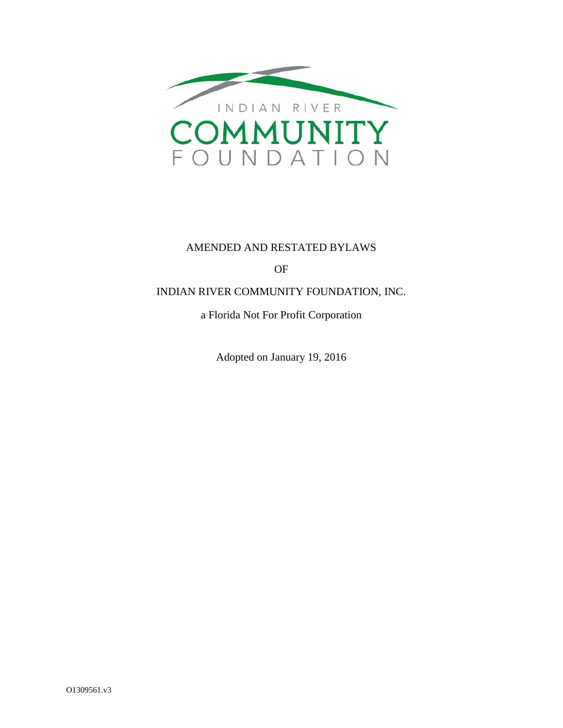

### AMENDED AND RESTATED BYLAWS

OF

### INDIAN RIVER COMMUNITY FOUNDATION, INC.

a Florida Not For Profit Corporation

Adopted on January 19, 2016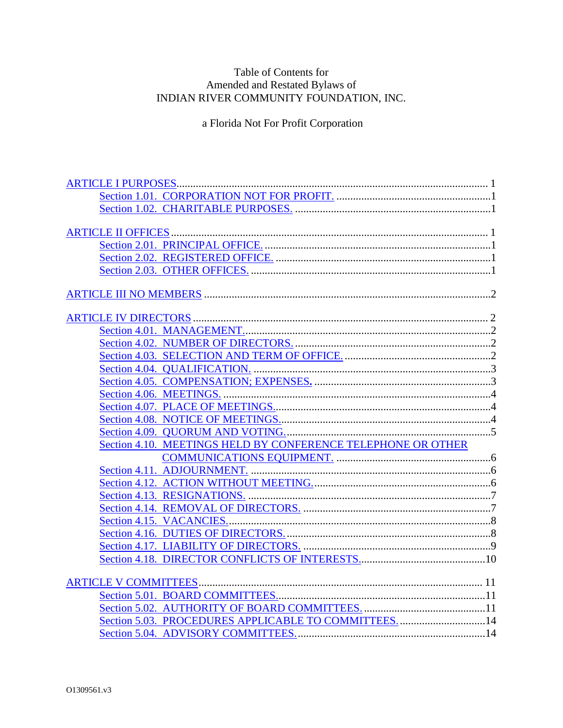# Table of Contents for Amended and Restated Bylaws of<br>INDIAN RIVER COMMUNITY FOUNDATION, INC.

a Florida Not For Profit Corporation

| Section 4.10. MEETINGS HELD BY CONFERENCE TELEPHONE OR OTHER |  |
|--------------------------------------------------------------|--|
|                                                              |  |
|                                                              |  |
|                                                              |  |
|                                                              |  |
|                                                              |  |
|                                                              |  |
|                                                              |  |
|                                                              |  |
|                                                              |  |
|                                                              |  |
|                                                              |  |
|                                                              |  |
| Section 5.03. PROCEDURES APPLICABLE TO COMMITTEES14          |  |
|                                                              |  |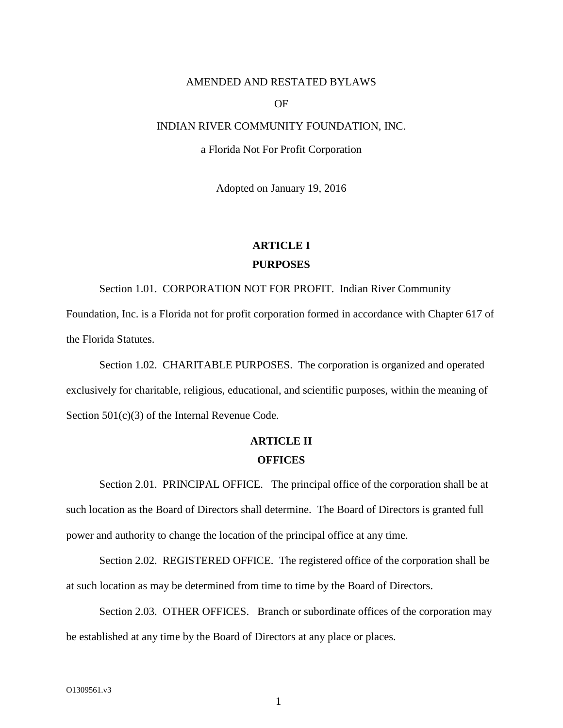#### AMENDED AND RESTATED BYLAWS

#### OF

#### INDIAN RIVER COMMUNITY FOUNDATION, INC.

#### a Florida Not For Profit Corporation

Adopted on January 19, 2016

# **ARTICLE I PURPOSES**

Section 1.01. CORPORATION NOT FOR PROFIT. Indian River Community Foundation, Inc. is a Florida not for profit corporation formed in accordance with Chapter 617 of the Florida Statutes.

Section 1.02. CHARITABLE PURPOSES. The corporation is organized and operated exclusively for charitable, religious, educational, and scientific purposes, within the meaning of Section 501(c)(3) of the Internal Revenue Code.

# **ARTICLE II OFFICES**

Section 2.01. PRINCIPAL OFFICE. The principal office of the corporation shall be at such location as the Board of Directors shall determine. The Board of Directors is granted full power and authority to change the location of the principal office at any time.

Section 2.02. REGISTERED OFFICE. The registered office of the corporation shall be at such location as may be determined from time to time by the Board of Directors.

Section 2.03. OTHER OFFICES. Branch or subordinate offices of the corporation may be established at any time by the Board of Directors at any place or places.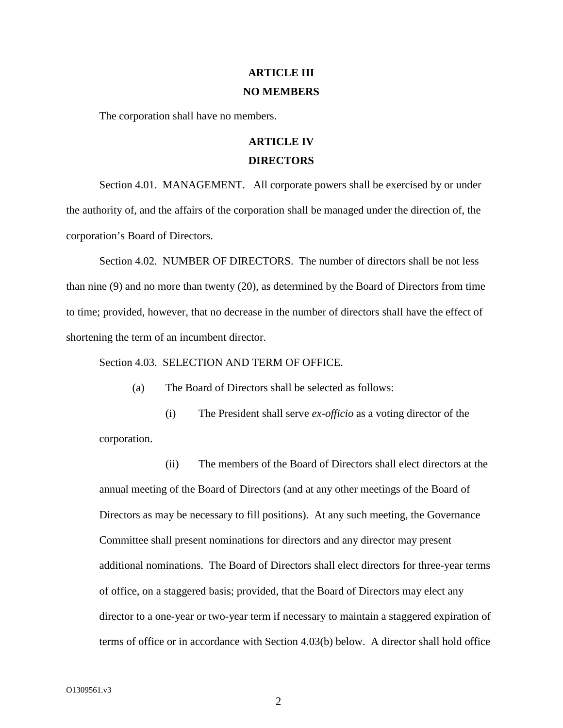### **ARTICLE III NO MEMBERS**

The corporation shall have no members.

### **ARTICLE IV DIRECTORS**

Section 4.01. MANAGEMENT. All corporate powers shall be exercised by or under the authority of, and the affairs of the corporation shall be managed under the direction of, the corporation's Board of Directors.

Section 4.02. NUMBER OF DIRECTORS. The number of directors shall be not less than nine (9) and no more than twenty (20), as determined by the Board of Directors from time to time; provided, however, that no decrease in the number of directors shall have the effect of shortening the term of an incumbent director.

Section 4.03. SELECTION AND TERM OF OFFICE.

(a) The Board of Directors shall be selected as follows:

(i) The President shall serve *ex-officio* as a voting director of the corporation.

(ii) The members of the Board of Directors shall elect directors at the annual meeting of the Board of Directors (and at any other meetings of the Board of Directors as may be necessary to fill positions). At any such meeting, the Governance Committee shall present nominations for directors and any director may present additional nominations. The Board of Directors shall elect directors for three-year terms of office, on a staggered basis; provided, that the Board of Directors may elect any director to a one-year or two-year term if necessary to maintain a staggered expiration of terms of office or in accordance with Section 4.03(b) below. A director shall hold office

 $\mathfrak{D}$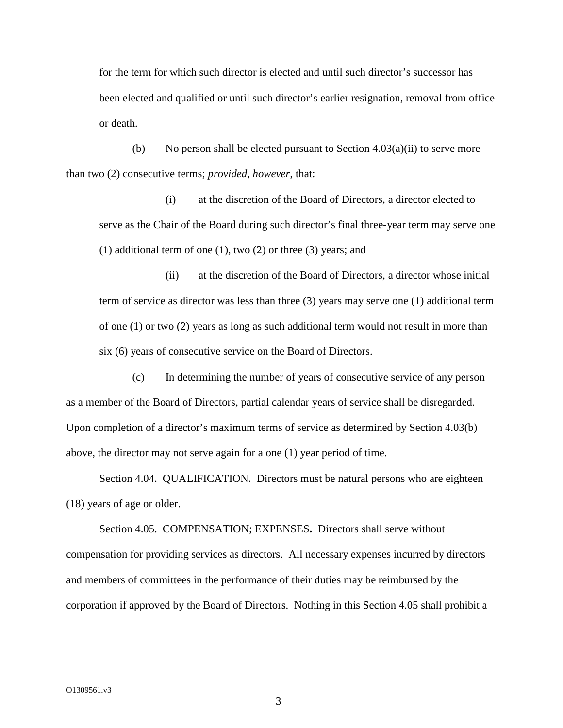for the term for which such director is elected and until such director's successor has been elected and qualified or until such director's earlier resignation, removal from office or death.

(b) No person shall be elected pursuant to Section  $4.03(a)(ii)$  to serve more than two (2) consecutive terms; *provided, however*, that:

(i) at the discretion of the Board of Directors, a director elected to serve as the Chair of the Board during such director's final three-year term may serve one (1) additional term of one (1), two (2) or three (3) years; and

(ii) at the discretion of the Board of Directors, a director whose initial term of service as director was less than three (3) years may serve one (1) additional term of one (1) or two (2) years as long as such additional term would not result in more than six (6) years of consecutive service on the Board of Directors.

(c) In determining the number of years of consecutive service of any person as a member of the Board of Directors, partial calendar years of service shall be disregarded. Upon completion of a director's maximum terms of service as determined by Section 4.03(b) above, the director may not serve again for a one (1) year period of time.

Section 4.04. QUALIFICATION. Directors must be natural persons who are eighteen (18) years of age or older.

Section 4.05. COMPENSATION; EXPENSES**.** Directors shall serve without compensation for providing services as directors. All necessary expenses incurred by directors and members of committees in the performance of their duties may be reimbursed by the corporation if approved by the Board of Directors. Nothing in this Section 4.05 shall prohibit a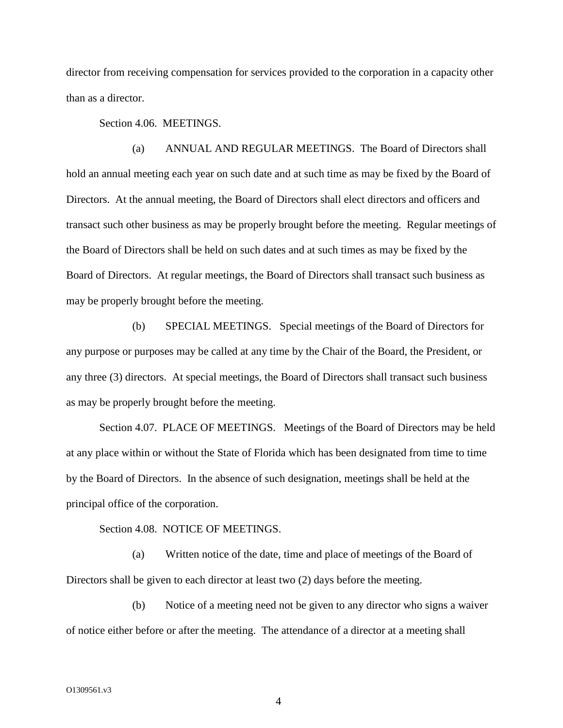director from receiving compensation for services provided to the corporation in a capacity other than as a director.

Section 4.06. MEETINGS.

(a) ANNUAL AND REGULAR MEETINGS. The Board of Directors shall hold an annual meeting each year on such date and at such time as may be fixed by the Board of Directors. At the annual meeting, the Board of Directors shall elect directors and officers and transact such other business as may be properly brought before the meeting. Regular meetings of the Board of Directors shall be held on such dates and at such times as may be fixed by the Board of Directors. At regular meetings, the Board of Directors shall transact such business as may be properly brought before the meeting.

(b) SPECIAL MEETINGS. Special meetings of the Board of Directors for any purpose or purposes may be called at any time by the Chair of the Board, the President, or any three (3) directors. At special meetings, the Board of Directors shall transact such business as may be properly brought before the meeting.

Section 4.07. PLACE OF MEETINGS. Meetings of the Board of Directors may be held at any place within or without the State of Florida which has been designated from time to time by the Board of Directors. In the absence of such designation, meetings shall be held at the principal office of the corporation.

Section 4.08. NOTICE OF MEETINGS.

(a) Written notice of the date, time and place of meetings of the Board of Directors shall be given to each director at least two (2) days before the meeting.

(b) Notice of a meeting need not be given to any director who signs a waiver of notice either before or after the meeting. The attendance of a director at a meeting shall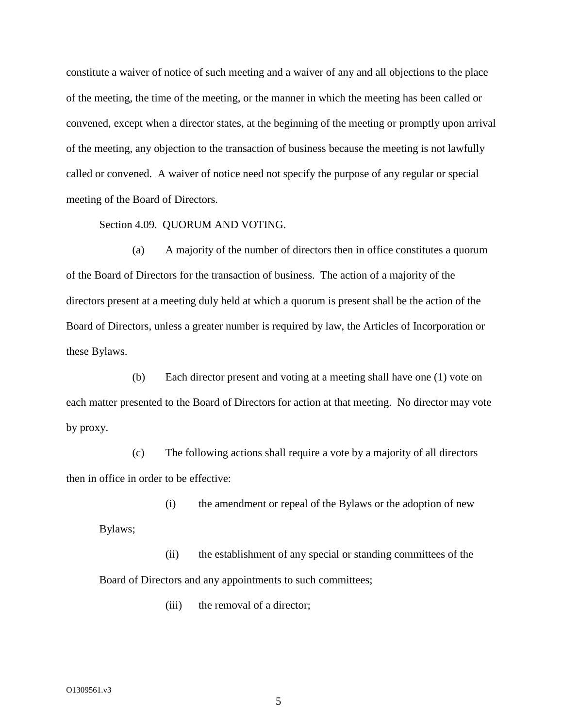constitute a waiver of notice of such meeting and a waiver of any and all objections to the place of the meeting, the time of the meeting, or the manner in which the meeting has been called or convened, except when a director states, at the beginning of the meeting or promptly upon arrival of the meeting, any objection to the transaction of business because the meeting is not lawfully called or convened. A waiver of notice need not specify the purpose of any regular or special meeting of the Board of Directors.

#### Section 4.09. QUORUM AND VOTING.

(a) A majority of the number of directors then in office constitutes a quorum of the Board of Directors for the transaction of business. The action of a majority of the directors present at a meeting duly held at which a quorum is present shall be the action of the Board of Directors, unless a greater number is required by law, the Articles of Incorporation or these Bylaws.

(b) Each director present and voting at a meeting shall have one (1) vote on each matter presented to the Board of Directors for action at that meeting. No director may vote by proxy.

(c) The following actions shall require a vote by a majority of all directors then in office in order to be effective:

(i) the amendment or repeal of the Bylaws or the adoption of new Bylaws;

(ii) the establishment of any special or standing committees of the Board of Directors and any appointments to such committees;

(iii) the removal of a director;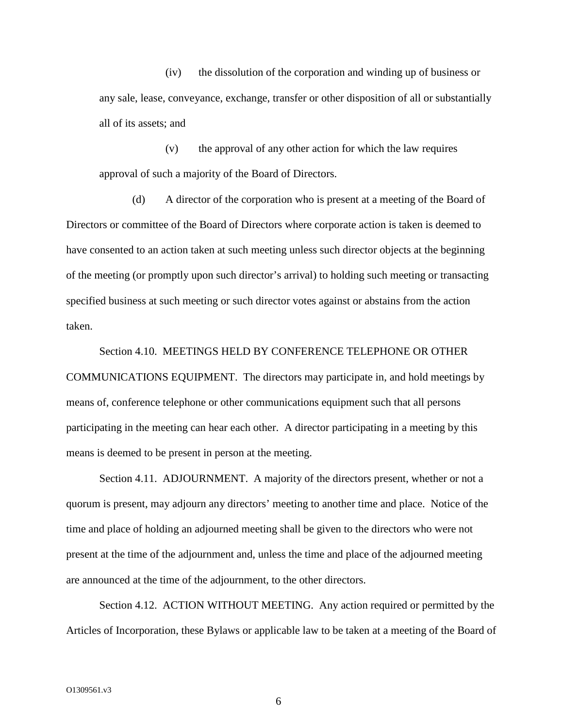(iv) the dissolution of the corporation and winding up of business or any sale, lease, conveyance, exchange, transfer or other disposition of all or substantially all of its assets; and

(v) the approval of any other action for which the law requires approval of such a majority of the Board of Directors.

(d) A director of the corporation who is present at a meeting of the Board of Directors or committee of the Board of Directors where corporate action is taken is deemed to have consented to an action taken at such meeting unless such director objects at the beginning of the meeting (or promptly upon such director's arrival) to holding such meeting or transacting specified business at such meeting or such director votes against or abstains from the action taken.

Section 4.10. MEETINGS HELD BY CONFERENCE TELEPHONE OR OTHER COMMUNICATIONS EQUIPMENT. The directors may participate in, and hold meetings by means of, conference telephone or other communications equipment such that all persons participating in the meeting can hear each other. A director participating in a meeting by this means is deemed to be present in person at the meeting.

Section 4.11. ADJOURNMENT. A majority of the directors present, whether or not a quorum is present, may adjourn any directors' meeting to another time and place. Notice of the time and place of holding an adjourned meeting shall be given to the directors who were not present at the time of the adjournment and, unless the time and place of the adjourned meeting are announced at the time of the adjournment, to the other directors.

Section 4.12. ACTION WITHOUT MEETING. Any action required or permitted by the Articles of Incorporation, these Bylaws or applicable law to be taken at a meeting of the Board of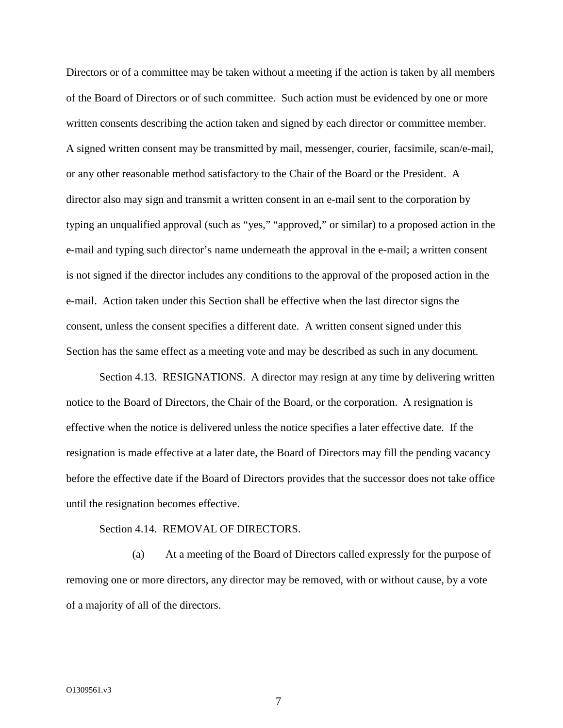Directors or of a committee may be taken without a meeting if the action is taken by all members of the Board of Directors or of such committee. Such action must be evidenced by one or more written consents describing the action taken and signed by each director or committee member. A signed written consent may be transmitted by mail, messenger, courier, facsimile, scan/e-mail, or any other reasonable method satisfactory to the Chair of the Board or the President. A director also may sign and transmit a written consent in an e-mail sent to the corporation by typing an unqualified approval (such as "yes," "approved," or similar) to a proposed action in the e-mail and typing such director's name underneath the approval in the e-mail; a written consent is not signed if the director includes any conditions to the approval of the proposed action in the e-mail. Action taken under this Section shall be effective when the last director signs the consent, unless the consent specifies a different date. A written consent signed under this Section has the same effect as a meeting vote and may be described as such in any document.

Section 4.13. RESIGNATIONS. A director may resign at any time by delivering written notice to the Board of Directors, the Chair of the Board, or the corporation. A resignation is effective when the notice is delivered unless the notice specifies a later effective date. If the resignation is made effective at a later date, the Board of Directors may fill the pending vacancy before the effective date if the Board of Directors provides that the successor does not take office until the resignation becomes effective.

#### Section 4.14. REMOVAL OF DIRECTORS.

(a) At a meeting of the Board of Directors called expressly for the purpose of removing one or more directors, any director may be removed, with or without cause, by a vote of a majority of all of the directors.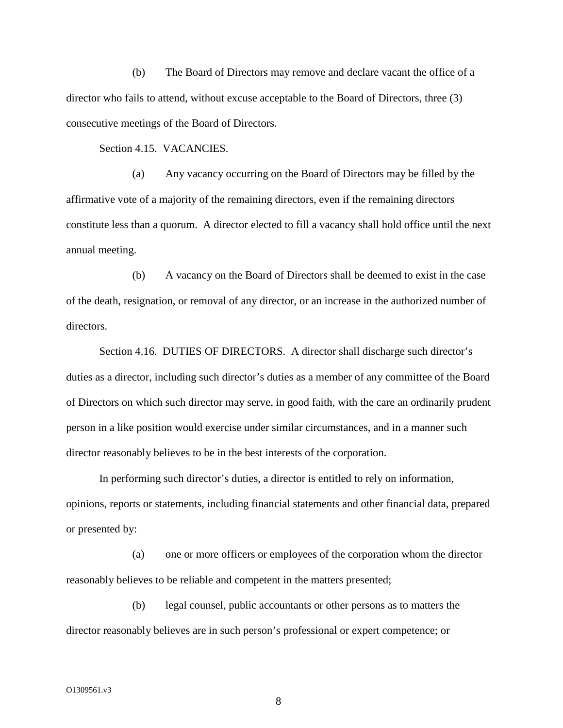(b) The Board of Directors may remove and declare vacant the office of a director who fails to attend, without excuse acceptable to the Board of Directors, three (3) consecutive meetings of the Board of Directors.

Section 4.15. VACANCIES.

(a) Any vacancy occurring on the Board of Directors may be filled by the affirmative vote of a majority of the remaining directors, even if the remaining directors constitute less than a quorum. A director elected to fill a vacancy shall hold office until the next annual meeting.

(b) A vacancy on the Board of Directors shall be deemed to exist in the case of the death, resignation, or removal of any director, or an increase in the authorized number of directors.

Section 4.16. DUTIES OF DIRECTORS. A director shall discharge such director's duties as a director, including such director's duties as a member of any committee of the Board of Directors on which such director may serve, in good faith, with the care an ordinarily prudent person in a like position would exercise under similar circumstances, and in a manner such director reasonably believes to be in the best interests of the corporation.

In performing such director's duties, a director is entitled to rely on information, opinions, reports or statements, including financial statements and other financial data, prepared or presented by:

(a) one or more officers or employees of the corporation whom the director reasonably believes to be reliable and competent in the matters presented;

(b) legal counsel, public accountants or other persons as to matters the director reasonably believes are in such person's professional or expert competence; or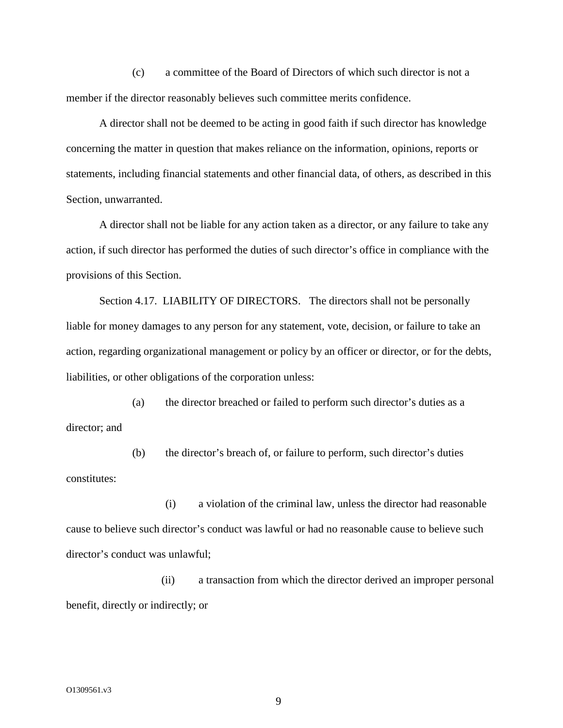(c) a committee of the Board of Directors of which such director is not a member if the director reasonably believes such committee merits confidence.

A director shall not be deemed to be acting in good faith if such director has knowledge concerning the matter in question that makes reliance on the information, opinions, reports or statements, including financial statements and other financial data, of others, as described in this Section, unwarranted.

A director shall not be liable for any action taken as a director, or any failure to take any action, if such director has performed the duties of such director's office in compliance with the provisions of this Section.

Section 4.17. LIABILITY OF DIRECTORS. The directors shall not be personally liable for money damages to any person for any statement, vote, decision, or failure to take an action, regarding organizational management or policy by an officer or director, or for the debts, liabilities, or other obligations of the corporation unless:

(a) the director breached or failed to perform such director's duties as a director; and

(b) the director's breach of, or failure to perform, such director's duties constitutes:

(i) a violation of the criminal law, unless the director had reasonable cause to believe such director's conduct was lawful or had no reasonable cause to believe such director's conduct was unlawful;

(ii) a transaction from which the director derived an improper personal benefit, directly or indirectly; or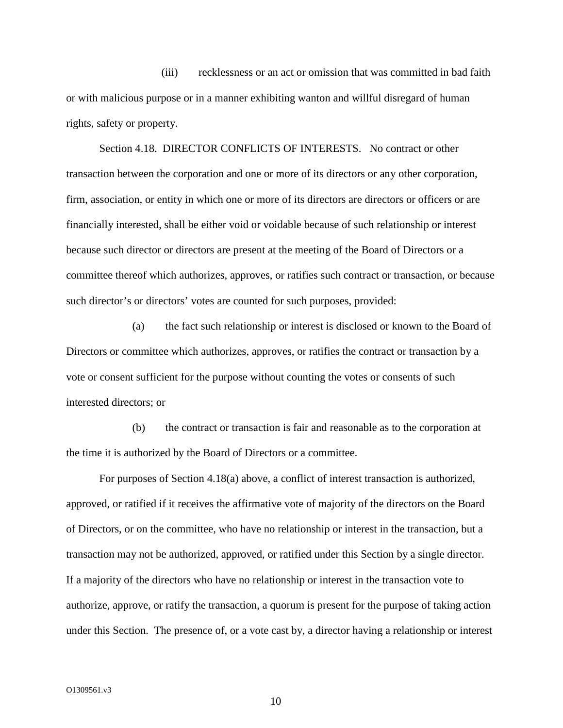(iii) recklessness or an act or omission that was committed in bad faith or with malicious purpose or in a manner exhibiting wanton and willful disregard of human rights, safety or property.

Section 4.18. DIRECTOR CONFLICTS OF INTERESTS. No contract or other transaction between the corporation and one or more of its directors or any other corporation, firm, association, or entity in which one or more of its directors are directors or officers or are financially interested, shall be either void or voidable because of such relationship or interest because such director or directors are present at the meeting of the Board of Directors or a committee thereof which authorizes, approves, or ratifies such contract or transaction, or because such director's or directors' votes are counted for such purposes, provided:

(a) the fact such relationship or interest is disclosed or known to the Board of Directors or committee which authorizes, approves, or ratifies the contract or transaction by a vote or consent sufficient for the purpose without counting the votes or consents of such interested directors; or

(b) the contract or transaction is fair and reasonable as to the corporation at the time it is authorized by the Board of Directors or a committee.

For purposes of Section 4.18(a) above, a conflict of interest transaction is authorized, approved, or ratified if it receives the affirmative vote of majority of the directors on the Board of Directors, or on the committee, who have no relationship or interest in the transaction, but a transaction may not be authorized, approved, or ratified under this Section by a single director. If a majority of the directors who have no relationship or interest in the transaction vote to authorize, approve, or ratify the transaction, a quorum is present for the purpose of taking action under this Section. The presence of, or a vote cast by, a director having a relationship or interest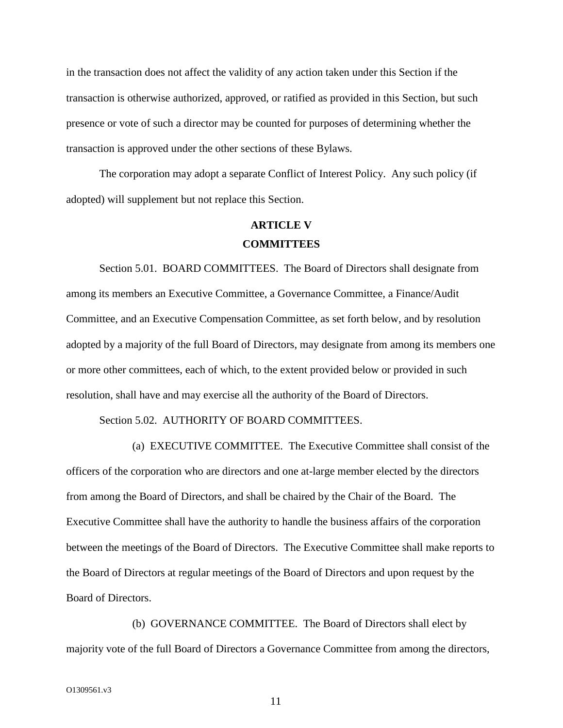in the transaction does not affect the validity of any action taken under this Section if the transaction is otherwise authorized, approved, or ratified as provided in this Section, but such presence or vote of such a director may be counted for purposes of determining whether the transaction is approved under the other sections of these Bylaws.

The corporation may adopt a separate Conflict of Interest Policy. Any such policy (if adopted) will supplement but not replace this Section.

### **ARTICLE V COMMITTEES**

Section 5.01. BOARD COMMITTEES. The Board of Directors shall designate from among its members an Executive Committee, a Governance Committee, a Finance/Audit Committee, and an Executive Compensation Committee, as set forth below, and by resolution adopted by a majority of the full Board of Directors, may designate from among its members one or more other committees, each of which, to the extent provided below or provided in such resolution, shall have and may exercise all the authority of the Board of Directors.

#### Section 5.02. AUTHORITY OF BOARD COMMITTEES.

(a) EXECUTIVE COMMITTEE. The Executive Committee shall consist of the officers of the corporation who are directors and one at-large member elected by the directors from among the Board of Directors, and shall be chaired by the Chair of the Board. The Executive Committee shall have the authority to handle the business affairs of the corporation between the meetings of the Board of Directors. The Executive Committee shall make reports to the Board of Directors at regular meetings of the Board of Directors and upon request by the Board of Directors.

(b) GOVERNANCE COMMITTEE. The Board of Directors shall elect by majority vote of the full Board of Directors a Governance Committee from among the directors,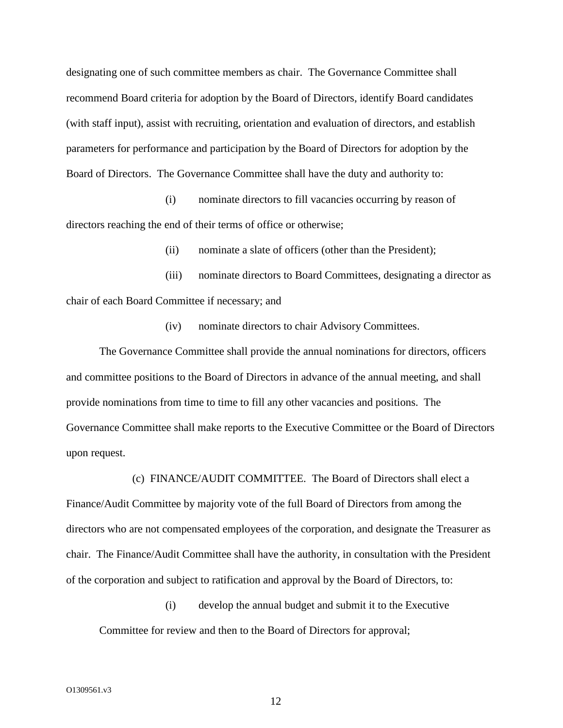designating one of such committee members as chair. The Governance Committee shall recommend Board criteria for adoption by the Board of Directors, identify Board candidates (with staff input), assist with recruiting, orientation and evaluation of directors, and establish parameters for performance and participation by the Board of Directors for adoption by the Board of Directors. The Governance Committee shall have the duty and authority to:

(i) nominate directors to fill vacancies occurring by reason of directors reaching the end of their terms of office or otherwise;

(ii) nominate a slate of officers (other than the President);

(iii) nominate directors to Board Committees, designating a director as chair of each Board Committee if necessary; and

(iv) nominate directors to chair Advisory Committees.

The Governance Committee shall provide the annual nominations for directors, officers and committee positions to the Board of Directors in advance of the annual meeting, and shall provide nominations from time to time to fill any other vacancies and positions. The Governance Committee shall make reports to the Executive Committee or the Board of Directors upon request.

(c) FINANCE/AUDIT COMMITTEE. The Board of Directors shall elect a Finance/Audit Committee by majority vote of the full Board of Directors from among the directors who are not compensated employees of the corporation, and designate the Treasurer as chair. The Finance/Audit Committee shall have the authority, in consultation with the President of the corporation and subject to ratification and approval by the Board of Directors, to:

(i) develop the annual budget and submit it to the Executive Committee for review and then to the Board of Directors for approval;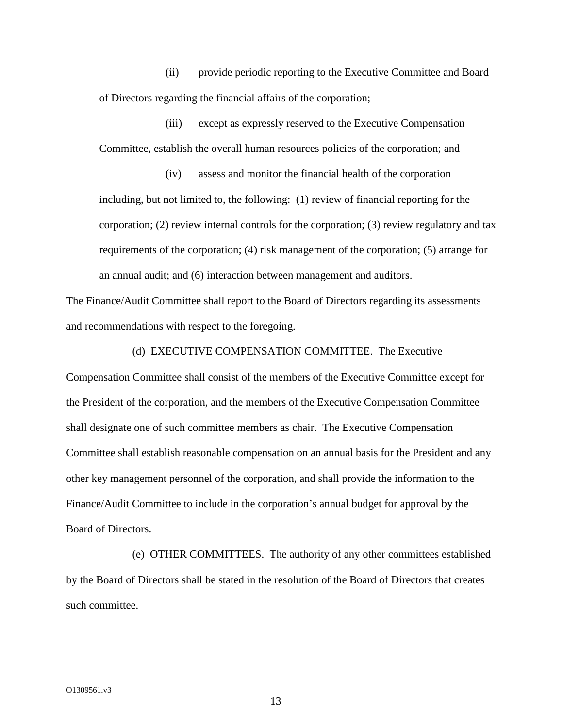(ii) provide periodic reporting to the Executive Committee and Board of Directors regarding the financial affairs of the corporation;

(iii) except as expressly reserved to the Executive Compensation Committee, establish the overall human resources policies of the corporation; and

(iv) assess and monitor the financial health of the corporation including, but not limited to, the following: (1) review of financial reporting for the corporation; (2) review internal controls for the corporation; (3) review regulatory and tax requirements of the corporation; (4) risk management of the corporation; (5) arrange for an annual audit; and (6) interaction between management and auditors.

The Finance/Audit Committee shall report to the Board of Directors regarding its assessments and recommendations with respect to the foregoing.

(d) EXECUTIVE COMPENSATION COMMITTEE. The Executive

Compensation Committee shall consist of the members of the Executive Committee except for the President of the corporation, and the members of the Executive Compensation Committee shall designate one of such committee members as chair. The Executive Compensation Committee shall establish reasonable compensation on an annual basis for the President and any other key management personnel of the corporation, and shall provide the information to the Finance/Audit Committee to include in the corporation's annual budget for approval by the Board of Directors.

(e) OTHER COMMITTEES. The authority of any other committees established by the Board of Directors shall be stated in the resolution of the Board of Directors that creates such committee.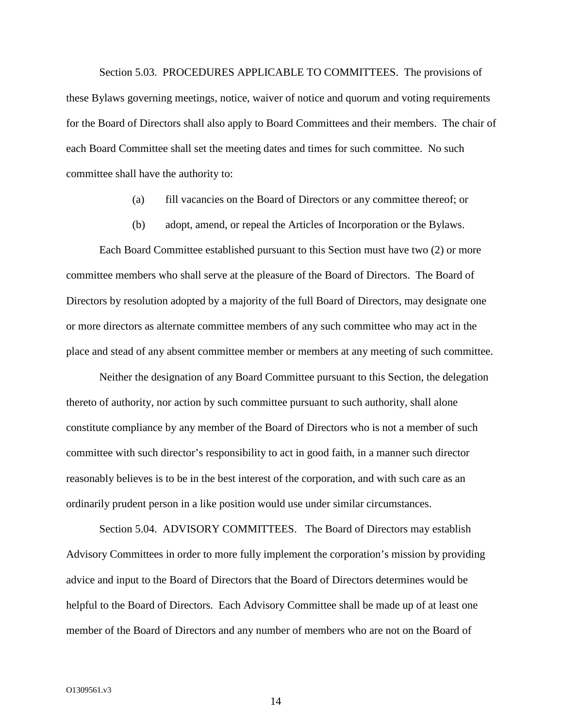Section 5.03. PROCEDURES APPLICABLE TO COMMITTEES. The provisions of these Bylaws governing meetings, notice, waiver of notice and quorum and voting requirements for the Board of Directors shall also apply to Board Committees and their members. The chair of each Board Committee shall set the meeting dates and times for such committee. No such committee shall have the authority to:

- (a) fill vacancies on the Board of Directors or any committee thereof; or
- (b) adopt, amend, or repeal the Articles of Incorporation or the Bylaws.

Each Board Committee established pursuant to this Section must have two (2) or more committee members who shall serve at the pleasure of the Board of Directors. The Board of Directors by resolution adopted by a majority of the full Board of Directors, may designate one or more directors as alternate committee members of any such committee who may act in the place and stead of any absent committee member or members at any meeting of such committee.

Neither the designation of any Board Committee pursuant to this Section, the delegation thereto of authority, nor action by such committee pursuant to such authority, shall alone constitute compliance by any member of the Board of Directors who is not a member of such committee with such director's responsibility to act in good faith, in a manner such director reasonably believes is to be in the best interest of the corporation, and with such care as an ordinarily prudent person in a like position would use under similar circumstances.

Section 5.04. ADVISORY COMMITTEES. The Board of Directors may establish Advisory Committees in order to more fully implement the corporation's mission by providing advice and input to the Board of Directors that the Board of Directors determines would be helpful to the Board of Directors. Each Advisory Committee shall be made up of at least one member of the Board of Directors and any number of members who are not on the Board of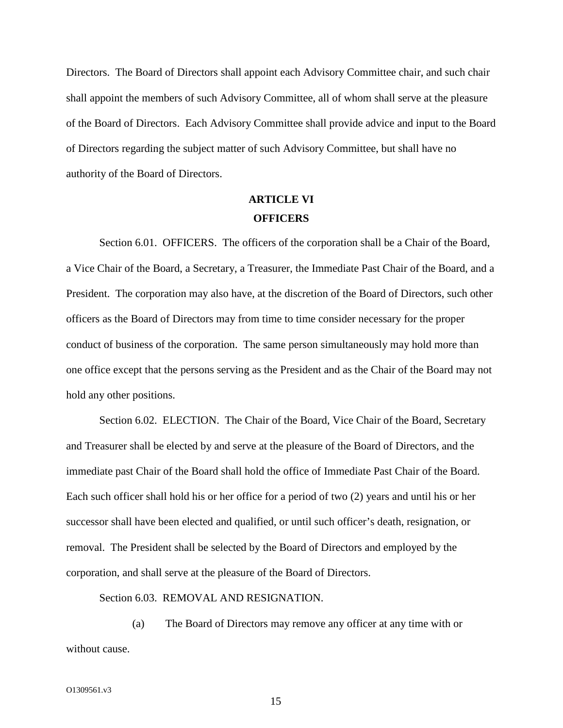Directors. The Board of Directors shall appoint each Advisory Committee chair, and such chair shall appoint the members of such Advisory Committee, all of whom shall serve at the pleasure of the Board of Directors. Each Advisory Committee shall provide advice and input to the Board of Directors regarding the subject matter of such Advisory Committee, but shall have no authority of the Board of Directors.

### **ARTICLE VI OFFICERS**

Section 6.01. OFFICERS. The officers of the corporation shall be a Chair of the Board, a Vice Chair of the Board, a Secretary, a Treasurer, the Immediate Past Chair of the Board, and a President. The corporation may also have, at the discretion of the Board of Directors, such other officers as the Board of Directors may from time to time consider necessary for the proper conduct of business of the corporation. The same person simultaneously may hold more than one office except that the persons serving as the President and as the Chair of the Board may not hold any other positions.

Section 6.02. ELECTION. The Chair of the Board, Vice Chair of the Board, Secretary and Treasurer shall be elected by and serve at the pleasure of the Board of Directors, and the immediate past Chair of the Board shall hold the office of Immediate Past Chair of the Board. Each such officer shall hold his or her office for a period of two (2) years and until his or her successor shall have been elected and qualified, or until such officer's death, resignation, or removal. The President shall be selected by the Board of Directors and employed by the corporation, and shall serve at the pleasure of the Board of Directors.

Section 6.03. REMOVAL AND RESIGNATION.

(a) The Board of Directors may remove any officer at any time with or without cause.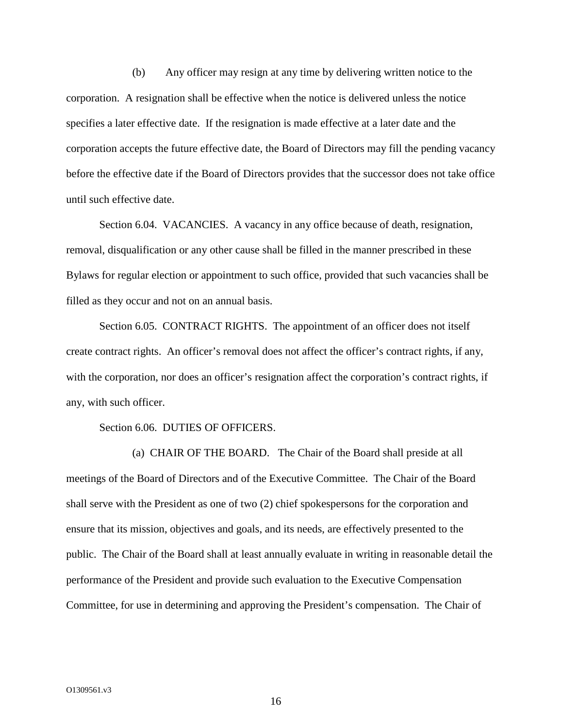(b) Any officer may resign at any time by delivering written notice to the corporation. A resignation shall be effective when the notice is delivered unless the notice specifies a later effective date. If the resignation is made effective at a later date and the corporation accepts the future effective date, the Board of Directors may fill the pending vacancy before the effective date if the Board of Directors provides that the successor does not take office until such effective date.

Section 6.04. VACANCIES. A vacancy in any office because of death, resignation, removal, disqualification or any other cause shall be filled in the manner prescribed in these Bylaws for regular election or appointment to such office, provided that such vacancies shall be filled as they occur and not on an annual basis.

Section 6.05. CONTRACT RIGHTS. The appointment of an officer does not itself create contract rights. An officer's removal does not affect the officer's contract rights, if any, with the corporation, nor does an officer's resignation affect the corporation's contract rights, if any, with such officer.

#### Section 6.06. DUTIES OF OFFICERS.

(a) CHAIR OF THE BOARD. The Chair of the Board shall preside at all meetings of the Board of Directors and of the Executive Committee. The Chair of the Board shall serve with the President as one of two (2) chief spokespersons for the corporation and ensure that its mission, objectives and goals, and its needs, are effectively presented to the public. The Chair of the Board shall at least annually evaluate in writing in reasonable detail the performance of the President and provide such evaluation to the Executive Compensation Committee, for use in determining and approving the President's compensation. The Chair of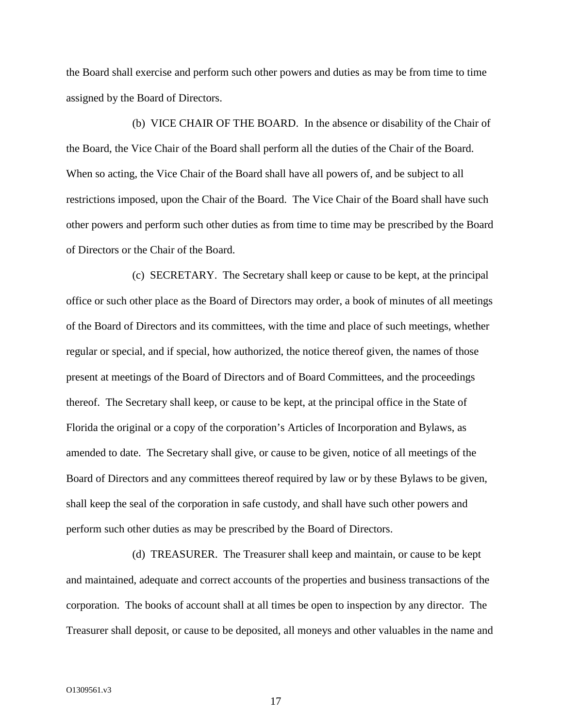the Board shall exercise and perform such other powers and duties as may be from time to time assigned by the Board of Directors.

(b) VICE CHAIR OF THE BOARD. In the absence or disability of the Chair of the Board, the Vice Chair of the Board shall perform all the duties of the Chair of the Board. When so acting, the Vice Chair of the Board shall have all powers of, and be subject to all restrictions imposed, upon the Chair of the Board. The Vice Chair of the Board shall have such other powers and perform such other duties as from time to time may be prescribed by the Board of Directors or the Chair of the Board.

(c) SECRETARY. The Secretary shall keep or cause to be kept, at the principal office or such other place as the Board of Directors may order, a book of minutes of all meetings of the Board of Directors and its committees, with the time and place of such meetings, whether regular or special, and if special, how authorized, the notice thereof given, the names of those present at meetings of the Board of Directors and of Board Committees, and the proceedings thereof. The Secretary shall keep, or cause to be kept, at the principal office in the State of Florida the original or a copy of the corporation's Articles of Incorporation and Bylaws, as amended to date. The Secretary shall give, or cause to be given, notice of all meetings of the Board of Directors and any committees thereof required by law or by these Bylaws to be given, shall keep the seal of the corporation in safe custody, and shall have such other powers and perform such other duties as may be prescribed by the Board of Directors.

(d) TREASURER. The Treasurer shall keep and maintain, or cause to be kept and maintained, adequate and correct accounts of the properties and business transactions of the corporation. The books of account shall at all times be open to inspection by any director. The Treasurer shall deposit, or cause to be deposited, all moneys and other valuables in the name and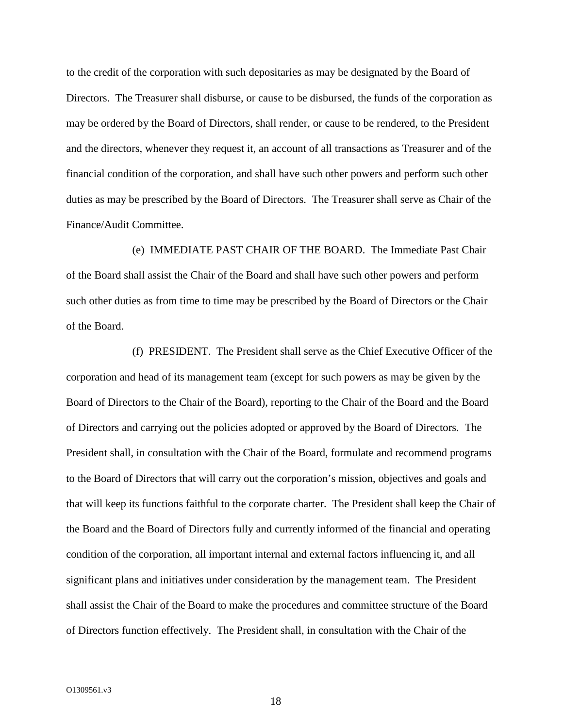to the credit of the corporation with such depositaries as may be designated by the Board of Directors. The Treasurer shall disburse, or cause to be disbursed, the funds of the corporation as may be ordered by the Board of Directors, shall render, or cause to be rendered, to the President and the directors, whenever they request it, an account of all transactions as Treasurer and of the financial condition of the corporation, and shall have such other powers and perform such other duties as may be prescribed by the Board of Directors. The Treasurer shall serve as Chair of the Finance/Audit Committee.

(e) IMMEDIATE PAST CHAIR OF THE BOARD. The Immediate Past Chair of the Board shall assist the Chair of the Board and shall have such other powers and perform such other duties as from time to time may be prescribed by the Board of Directors or the Chair of the Board.

(f) PRESIDENT. The President shall serve as the Chief Executive Officer of the corporation and head of its management team (except for such powers as may be given by the Board of Directors to the Chair of the Board), reporting to the Chair of the Board and the Board of Directors and carrying out the policies adopted or approved by the Board of Directors. The President shall, in consultation with the Chair of the Board, formulate and recommend programs to the Board of Directors that will carry out the corporation's mission, objectives and goals and that will keep its functions faithful to the corporate charter. The President shall keep the Chair of the Board and the Board of Directors fully and currently informed of the financial and operating condition of the corporation, all important internal and external factors influencing it, and all significant plans and initiatives under consideration by the management team. The President shall assist the Chair of the Board to make the procedures and committee structure of the Board of Directors function effectively. The President shall, in consultation with the Chair of the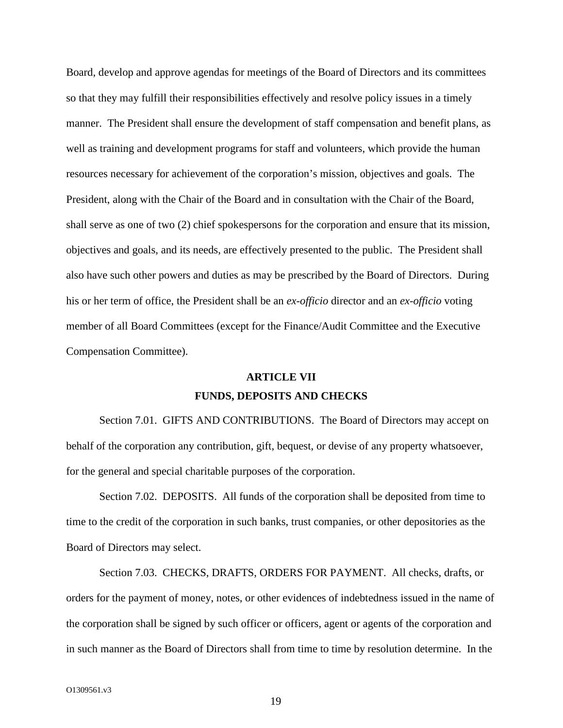Board, develop and approve agendas for meetings of the Board of Directors and its committees so that they may fulfill their responsibilities effectively and resolve policy issues in a timely manner. The President shall ensure the development of staff compensation and benefit plans, as well as training and development programs for staff and volunteers, which provide the human resources necessary for achievement of the corporation's mission, objectives and goals. The President, along with the Chair of the Board and in consultation with the Chair of the Board, shall serve as one of two (2) chief spokespersons for the corporation and ensure that its mission, objectives and goals, and its needs, are effectively presented to the public. The President shall also have such other powers and duties as may be prescribed by the Board of Directors. During his or her term of office, the President shall be an *ex-officio* director and an *ex-officio* voting member of all Board Committees (except for the Finance/Audit Committee and the Executive Compensation Committee).

# **ARTICLE VII FUNDS, DEPOSITS AND CHECKS**

Section 7.01. GIFTS AND CONTRIBUTIONS. The Board of Directors may accept on behalf of the corporation any contribution, gift, bequest, or devise of any property whatsoever, for the general and special charitable purposes of the corporation.

Section 7.02. DEPOSITS. All funds of the corporation shall be deposited from time to time to the credit of the corporation in such banks, trust companies, or other depositories as the Board of Directors may select.

Section 7.03. CHECKS, DRAFTS, ORDERS FOR PAYMENT. All checks, drafts, or orders for the payment of money, notes, or other evidences of indebtedness issued in the name of the corporation shall be signed by such officer or officers, agent or agents of the corporation and in such manner as the Board of Directors shall from time to time by resolution determine. In the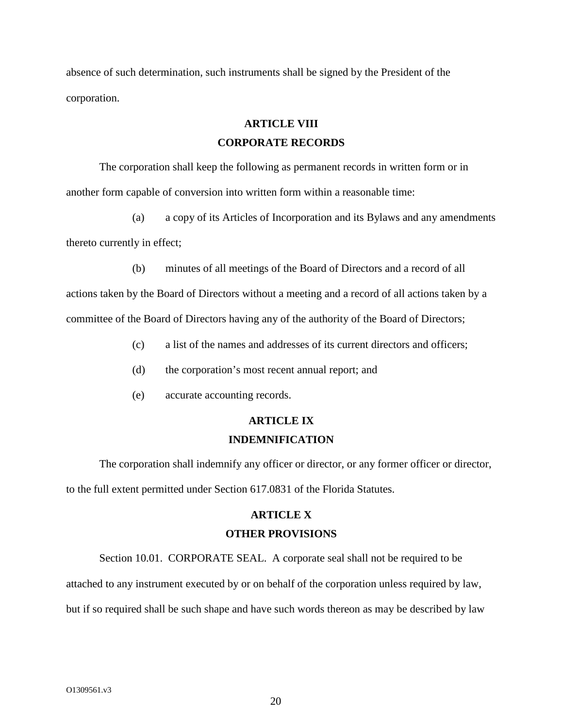absence of such determination, such instruments shall be signed by the President of the corporation.

### **ARTICLE VIII**

### **CORPORATE RECORDS**

The corporation shall keep the following as permanent records in written form or in another form capable of conversion into written form within a reasonable time:

(a) a copy of its Articles of Incorporation and its Bylaws and any amendments thereto currently in effect;

(b) minutes of all meetings of the Board of Directors and a record of all

actions taken by the Board of Directors without a meeting and a record of all actions taken by a committee of the Board of Directors having any of the authority of the Board of Directors;

- (c) a list of the names and addresses of its current directors and officers;
- (d) the corporation's most recent annual report; and
- (e) accurate accounting records.

# **ARTICLE IX INDEMNIFICATION**

The corporation shall indemnify any officer or director, or any former officer or director, to the full extent permitted under Section 617.0831 of the Florida Statutes.

# **ARTICLE X OTHER PROVISIONS**

Section 10.01. CORPORATE SEAL. A corporate seal shall not be required to be

attached to any instrument executed by or on behalf of the corporation unless required by law,

but if so required shall be such shape and have such words thereon as may be described by law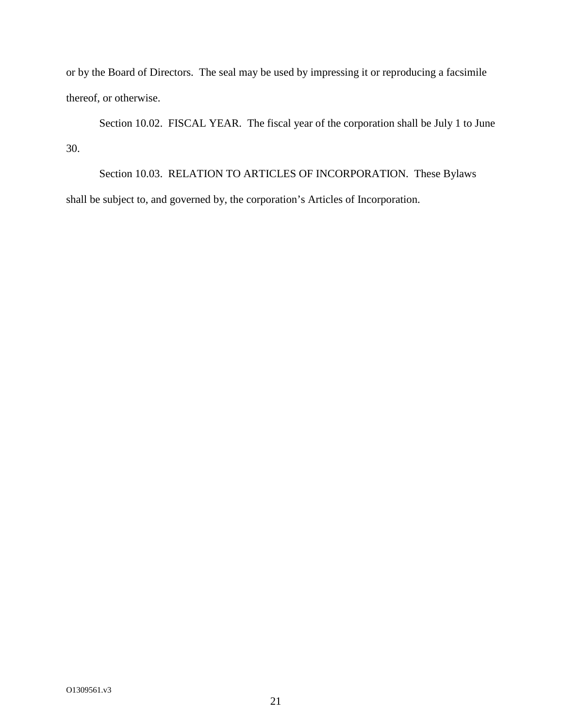or by the Board of Directors. The seal may be used by impressing it or reproducing a facsimile thereof, or otherwise.

Section 10.02. FISCAL YEAR. The fiscal year of the corporation shall be July 1 to June 30.

Section 10.03. RELATION TO ARTICLES OF INCORPORATION. These Bylaws shall be subject to, and governed by, the corporation's Articles of Incorporation.